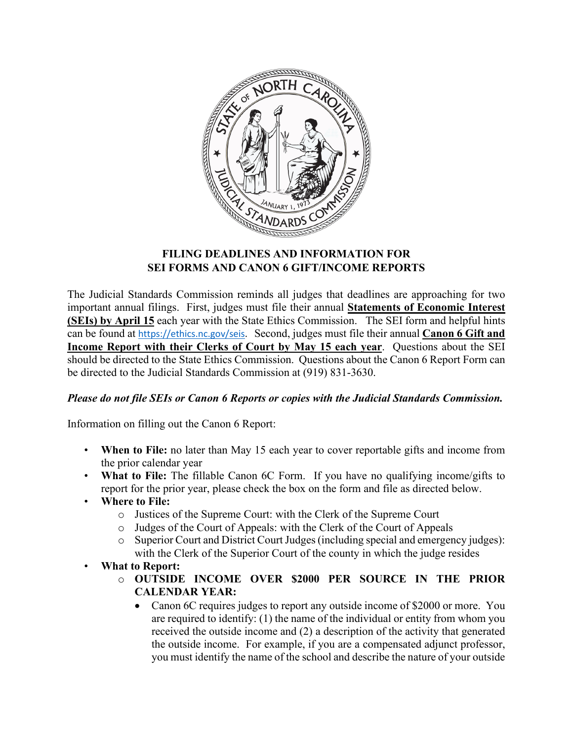

# **FILING DEADLINES AND INFORMATION FOR SEI FORMS AND CANON 6 GIFT/INCOME REPORTS**

The Judicial Standards Commission reminds all judges that deadlines are approaching for two important annual filings. First, judges must file their annual **Statements of Economic Interest (SEIs) by April 15** each year with the State Ethics Commission. The SEI form and helpful hints can be found at [https://ethics.nc.gov/seis.](https://ethics.nc.gov/seis) Second, judges must file their annual **Canon 6 Gift and Income Report with their Clerks of Court by May 15 each year**. Questions about the SEI should be directed to the State Ethics Commission. Questions about the Canon 6 Report Form can be directed to the Judicial Standards Commission at (919) 831-3630.

# *Please do not file SEIs or Canon 6 Reports or copies with the Judicial Standards Commission.*

Information on filling out the Canon 6 Report:

- **When to File:** no later than May 15 each year to cover reportable gifts and income from the prior calendar year
- **What to File:** The fillable Canon 6C Form. If you have no qualifying income/gifts to report for the prior year, please check the box on the form and file as directed below.
- **Where to File:**
	- o Justices of the Supreme Court: with the Clerk of the Supreme Court
	-
	- o Judges of the Court of Appeals: with the Clerk of the Court of Appeals<br>  $\circ$  Superior Court and District Court Judges (including special and emergen Superior Court and District Court Judges (including special and emergency judges): with the Clerk of the Superior Court of the county in which the judge resides
- **What to Report:** 
	- o **OUTSIDE INCOME OVER \$2000 PER SOURCE IN THE PRIOR CALENDAR YEAR:** 
		- Canon 6C requires judges to report any outside income of \$2000 or more. You are required to identify: (1) the name of the individual or entity from whom you received the outside income and (2) a description of the activity that generated the outside income. For example, if you are a compensated adjunct professor, you must identify the name of the school and describe the nature of your outside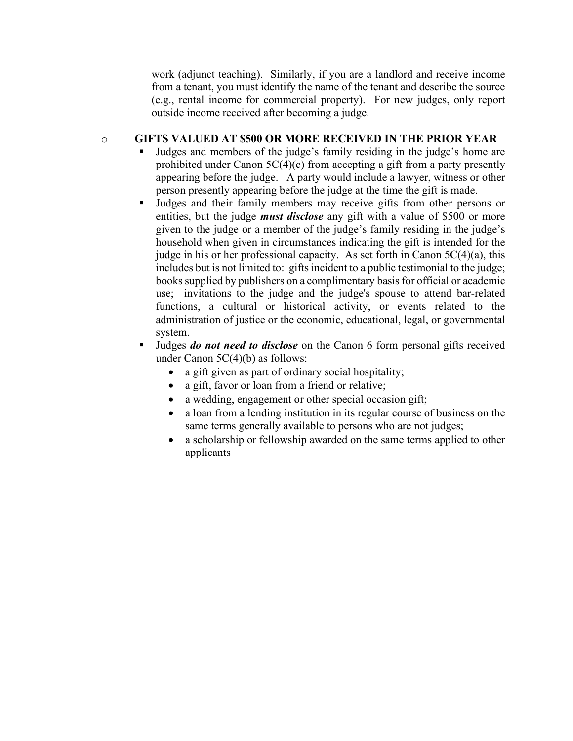work (adjunct teaching). Similarly, if you are a landlord and receive income from a tenant, you must identify the name of the tenant and describe the source (e.g., rental income for commercial property). For new judges, only report outside income received after becoming a judge.

### o **GIFTS VALUED AT \$500 OR MORE RECEIVED IN THE PRIOR YEAR**

- Judges and members of the judge's family residing in the judge's home are prohibited under Canon 5C(4)(c) from accepting a gift from a party presently appearing before the judge. A party would include a lawyer, witness or other person presently appearing before the judge at the time the gift is made.
- Judges and their family members may receive gifts from other persons or entities, but the judge *must disclose* any gift with a value of \$500 or more given to the judge or a member of the judge's family residing in the judge's household when given in circumstances indicating the gift is intended for the judge in his or her professional capacity. As set forth in Canon  $5C(4)(a)$ , this includes but is not limited to: gifts incident to a public testimonial to the judge; books supplied by publishers on a complimentary basis for official or academic use; invitations to the judge and the judge's spouse to attend bar-related functions, a cultural or historical activity, or events related to the administration of justice or the economic, educational, legal, or governmental system.
- Judges *do not need to disclose* on the Canon 6 form personal gifts received under Canon 5C(4)(b) as follows:
	- a gift given as part of ordinary social hospitality;
	- a gift, favor or loan from a friend or relative;
	- a wedding, engagement or other special occasion gift;
	- a loan from a lending institution in its regular course of business on the same terms generally available to persons who are not judges;
	- a scholarship or fellowship awarded on the same terms applied to other applicants